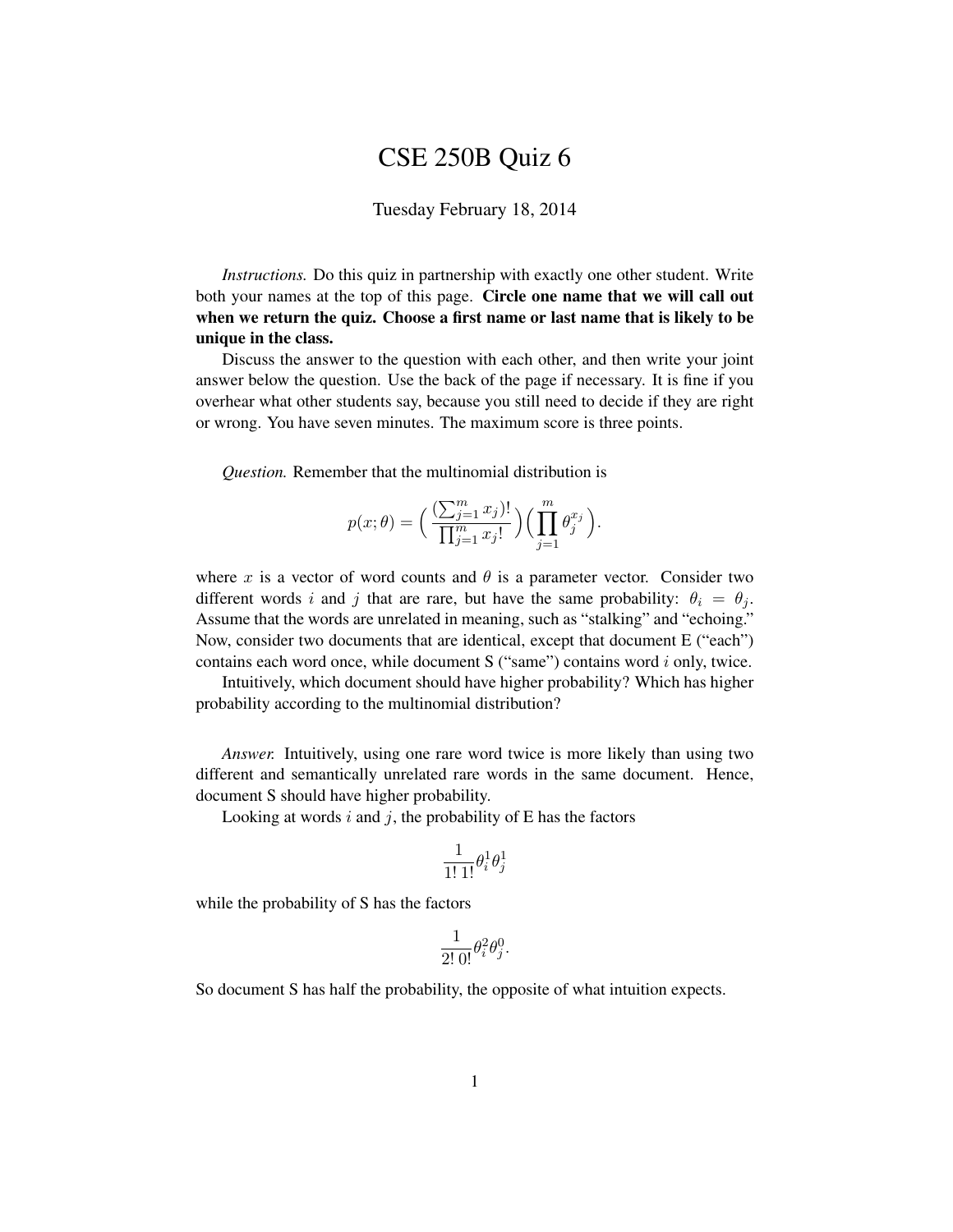## CSE 250B Quiz 6

## Tuesday February 18, 2014

*Instructions.* Do this quiz in partnership with exactly one other student. Write both your names at the top of this page. Circle one name that we will call out when we return the quiz. Choose a first name or last name that is likely to be unique in the class.

Discuss the answer to the question with each other, and then write your joint answer below the question. Use the back of the page if necessary. It is fine if you overhear what other students say, because you still need to decide if they are right or wrong. You have seven minutes. The maximum score is three points.

*Question.* Remember that the multinomial distribution is

$$
p(x; \theta) = \Big(\frac{\left(\sum_{j=1}^m x_j\right)!}{\prod_{j=1}^m x_j!}\Big)\Big(\prod_{j=1}^m \theta_j^{x_j}\Big).
$$

where x is a vector of word counts and  $\theta$  is a parameter vector. Consider two different words i and j that are rare, but have the same probability:  $\theta_i = \theta_i$ . Assume that the words are unrelated in meaning, such as "stalking" and "echoing." Now, consider two documents that are identical, except that document E ("each") contains each word once, while document S ("same") contains word i only, twice.

Intuitively, which document should have higher probability? Which has higher probability according to the multinomial distribution?

*Answer.* Intuitively, using one rare word twice is more likely than using two different and semantically unrelated rare words in the same document. Hence, document S should have higher probability.

Looking at words  $i$  and  $j$ , the probability of E has the factors

$$
\frac{1}{1!\,1!}\theta_i^1\theta_j^1
$$

while the probability of S has the factors

$$
\frac{1}{2!\,0!} \theta_i^2 \theta_j^0.
$$

So document S has half the probability, the opposite of what intuition expects.